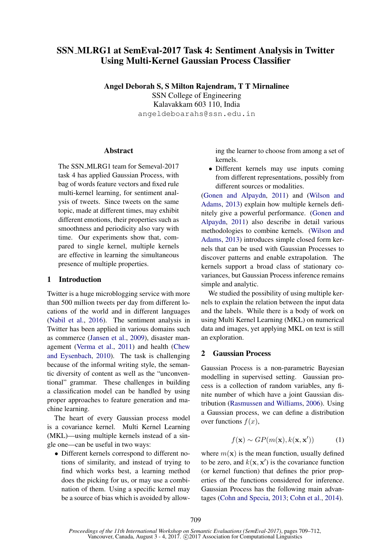# SSN MLRG1 at SemEval-2017 Task 4: Sentiment Analysis in Twitter Using Multi-Kernel Gaussian Process Classifier

Angel Deborah S, S Milton Rajendram, T T Mirnalinee SSN College of Engineering Kalavakkam 603 110, India angeldeboarahs@ssn.edu.in

#### Abstract

The SSN MLRG1 team for Semeval-2017 task 4 has applied Gaussian Process, with bag of words feature vectors and fixed rule multi-kernel learning, for sentiment analysis of tweets. Since tweets on the same topic, made at different times, may exhibit different emotions, their properties such as smoothness and periodicity also vary with time. Our experiments show that, compared to single kernel, multiple kernels are effective in learning the simultaneous presence of multiple properties.

#### 1 Introduction

Twitter is a huge microblogging service with more than 500 million tweets per day from different locations of the world and in different languages (Nabil et al., 2016). The sentiment analysis in Twitter has been applied in various domains such as commerce (Jansen et al., 2009), disaster management (Verma et al., 2011) and health (Chew and Eysenbach, 2010). The task is challenging because of the informal writing style, the semantic diversity of content as well as the "unconventional" grammar. These challenges in building a classification model can be handled by using proper approaches to feature generation and machine learning.

The heart of every Gaussian process model is a covariance kernel. Multi Kernel Learning (MKL)—using multiple kernels instead of a single one—can be useful in two ways:

• Different kernels correspond to different notions of similarity, and instead of trying to find which works best, a learning method does the picking for us, or may use a combination of them. Using a specific kernel may be a source of bias which is avoided by allowing the learner to choose from among a set of kernels.

• Different kernels may use inputs coming from different representations, possibly from different sources or modalities.

(Gonen and Alpaydn, 2011) and (Wilson and Adams, 2013) explain how multiple kernels definitely give a powerful performance. (Gonen and Alpaydn, 2011) also describe in detail various methodologies to combine kernels. (Wilson and Adams, 2013) introduces simple closed form kernels that can be used with Gaussian Processes to discover patterns and enable extrapolation. The kernels support a broad class of stationary covariances, but Gaussian Process inference remains simple and analytic.

We studied the possibility of using multiple kernels to explain the relation between the input data and the labels. While there is a body of work on using Multi Kernel Learning (MKL) on numerical data and images, yet applying MKL on text is still an exploration.

#### 2 Gaussian Process

Gaussian Process is a non-parametric Bayesian modelling in supervised setting. Gaussian process is a collection of random variables, any finite number of which have a joint Gaussian distribution (Rasmussen and Williams, 2006). Using a Gaussian process, we can define a distribution over functions  $f(x)$ ,

$$
f(\mathbf{x}) \sim GP(m(\mathbf{x}), k(\mathbf{x}, \mathbf{x}')) \tag{1}
$$

where  $m(\mathbf{x})$  is the mean function, usually defined to be zero, and  $k(x, x')$  is the covariance function (or kernel function) that defines the prior properties of the functions considered for inference. Gaussian Process has the following main advantages (Cohn and Specia, 2013; Cohn et al., 2014).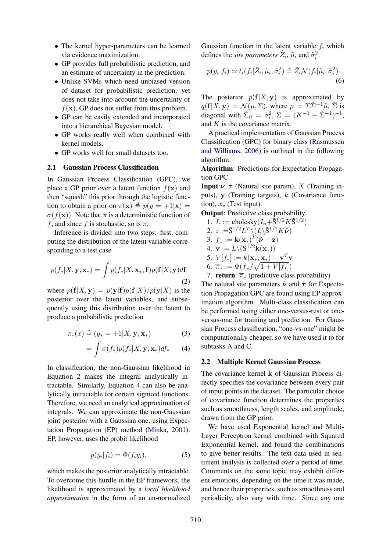- The kernel hyper-parameters can be learned via evidence maximization.
- GP provides full probabilistic prediction, and an estimate of uncertainty in the prediction.
- Unlike SVMs which need unbiased version of dataset for probabilistic prediction, yet does not take into account the uncertainty of  $f(\mathbf{x})$ , GP does not suffer from this problem.
- GP can be easily extended and incorporated into a hierarchical Bayesian model.
- GP works really well when combined with kernel models.
- GP works well for small datasets too.

#### 2.1 Gaussian Process Classification

In Gaussian Process Classification (GPC), we place a GP prior over a latent function  $f(\mathbf{x})$  and then "squash" this prior through the logistic function to obtain a prior on  $\pi(\mathbf{x}) \triangleq p(y = +1|\mathbf{x}) =$  $\sigma(f(\mathbf{x}))$ . Note that  $\pi$  is a deterministic function of f, and since f is stochastic, so is  $\pi$ .

Inference is divided into two steps: first, computing the distribution of the latent variable corresponding to a test case

$$
p(f_*|X, \mathbf{y}, \mathbf{x}_*) = \int p(f_*|X, \mathbf{x}_*, \mathbf{f}) p(\mathbf{f}|X, \mathbf{y}) d\mathbf{f}
$$
\n(2)

where  $p(\mathbf{f}|X, \mathbf{y}) = p(\mathbf{y}|\mathbf{f})p(\mathbf{f}|X)/p(\mathbf{y}|X)$  is the posterior over the latent variables, and subsequently using this distribution over the latent to produce a probabilistic prediction

$$
\pi_*(x) \triangleq (y_* = +1 | X, \mathbf{y}, \mathbf{x}_*)
$$
\n(3)

$$
= \int \sigma(f_*)p(f_*|X, \mathbf{y}, \mathbf{x}_*)df_* \qquad (4)
$$

In classification, the non-Gaussian likelihood in Equation 2 makes the integral analytically intractable. Similarly, Equation 4 can also be analytically intractable for certain sigmoid functions. Therefore, we need an analytical approximation of integrals. We can approximate the non-Gaussian joint posterior with a Gaussian one, using Expectation Propagation (EP) method (Minka, 2001). EP, however, uses the probit likelihood

$$
p(y_i|f_i) = \Phi(f_i y_i), \tag{5}
$$

which makes the posterior analytically intractable. To overcome this hurdle in the EP framework, the likelihood is approximated by a *local likelihood approximation* in the form of an un-normalized

Gaussian function in the latent variable  $f_i$  which defines the *site parameters*  $\tilde{Z}_i$ ,  $\tilde{\mu}_i$  and  $\tilde{\sigma}_i^2$ .

$$
p(y_i|f_i) \simeq t_i(f_i|\tilde{Z}_i, \tilde{\mu}_i, \tilde{\sigma}_i^2) \triangleq \tilde{Z}_i \mathcal{N}(f_i|\tilde{\mu}_i, \tilde{\sigma}_i^2)
$$
\n
$$
(6)
$$

The posterior  $p(f|X, y)$  is approximated by  $q(\mathbf{f}|X, \mathbf{y}) = \mathcal{N}(\mu, \Sigma)$ , where  $\mu = \Sigma \tilde{\Sigma}^{-1} \tilde{\mu}, \tilde{\Sigma}$  is diagonal with  $\tilde{\Sigma}_{ii} = \tilde{\sigma}_i^2$ ,  $\Sigma = (K^{-1} + \tilde{\Sigma}^{-1})^{-1}$ , and  $K$  is the covariance matrix.

A practical implementation of Gaussian Process Classification (GPC) for binary class (Rasmussen and Williams, 2006) is outlined in the following algorithm:

Algorithm: Predictions for Expectation Propagation GPC.

**Input:** $\tilde{\nu}$ ,  $\tilde{\tau}$  (Natural site param), X (Training inputs), y (Training targets),  $k$  (Covariance function),  $x_*$  (Test input).

Output: Predictive class probability.

1.  $L := \text{cholesky}(I_n + \tilde{S}^{1/2} K \tilde{S}^{1/2})$ 

2. 
$$
z := \tilde{\mathbf{S}}^{1/2} L^T \setminus (L \setminus \tilde{\mathbf{S}}^{1/2} K \tilde{\boldsymbol{\nu}})
$$

3. 
$$
\overline{f}_* := \mathbf{k}(\mathbf{x}_*)^T (\tilde{\boldsymbol{\nu}} - \mathbf{z})
$$

4. 
$$
\mathbf{v} := L \setminus (\tilde{\mathbf{S}}^{1/2} \mathbf{k}(\mathbf{x}_*))
$$

5. 
$$
V[f_*] := k(\mathbf{x}_*, \mathbf{x}_*) - \mathbf{v}^T \mathbf{v}
$$

6. 
$$
\overline{\pi}_* := \Phi(\overline{f}_*/\sqrt{1+V[f_*]})
$$

7. **return**:  $\overline{\pi}_*$  (predictive class probability)

The natural site parameters  $\tilde{\nu}$  and  $\tilde{\tau}$  for Expectation Propagation GPC are found using EP approximation algorithm. Multi-class classification can be performed using either one-versus-rest or oneversus-one for training and prediction. For Gaussian Process classification, "one-vs-one" might be computationally cheaper, so we have used it to for subtasks A and C.

#### 2.2 Multiple Kernel Gaussian Process

The covariance kernel k of Gaussian Process directly specifies the covariance between every pair of input points in the dataset. The particular choice of covariance function determines the properties such as smoothness, length scales, and amplitude, drawn from the GP prior.

We have used Exponential kernel and Multi-Layer Perceptron kernel combined with Squared Exponential kernel, and found the combinations to give better results. The text data used in sentiment analysis is collected over a period of time. Comments on the same topic may exhibit different emotions, depending on the time it was made, and hence their properties, such as smoothness and periodicity, also vary with time. Since any one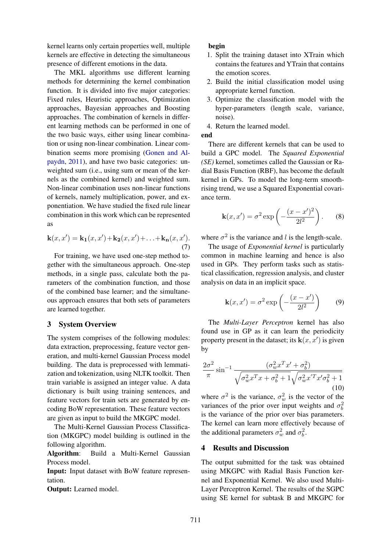kernel learns only certain properties well, multiple kernels are effective in detecting the simultaneous presence of different emotions in the data.

The MKL algorithms use different learning methods for determining the kernel combination function. It is divided into five major categories: Fixed rules, Heuristic approaches, Optimization approaches, Bayesian approaches and Boosting approaches. The combination of kernels in different learning methods can be performed in one of the two basic ways, either using linear combination or using non-linear combination. Linear combination seems more promising (Gonen and Alpaydn, 2011), and have two basic categories: unweighted sum (i.e., using sum or mean of the kernels as the combined kernel) and weighted sum. Non-linear combination uses non-linear functions of kernels, namely multiplication, power, and exponentiation. We have studied the fixed rule linear combination in this work which can be represented as

$$
\mathbf{k}(x, x') = \mathbf{k_1}(x, x') + \mathbf{k_2}(x, x') + \ldots + \mathbf{k_n}(x, x').
$$
  
(7)

For training, we have used one-step method together with the simultaneous approach. One-step methods, in a single pass, calculate both the parameters of the combination function, and those of the combined base learner; and the simultaneous approach ensures that both sets of parameters are learned together.

#### 3 System Overview

The system comprises of the following modules: data extraction, preprocessing, feature vector generation, and multi-kernel Gaussian Process model building. The data is preprocessed with lemmatization and tokenization, using NLTK toolkit. Then train variable is assigned an integer value. A data dictionary is built using training sentences, and feature vectors for train sets are generated by encoding BoW representation. These feature vectors are given as input to build the MKGPC model.

The Multi-Kernel Gaussian Process Classification (MKGPC) model building is outlined in the following algorithm.

Algorithm: Build a Multi-Kernel Gaussian Process model.

Input: Input dataset with BoW feature representation.

Output: Learned model.

#### begin

- 1. Split the training dataset into XTrain which contains the features and YTrain that contains the emotion scores.
- 2. Build the initial classification model using appropriate kernel function.
- 3. Optimize the classification model with the hyper-parameters (length scale, variance, noise).
- 4. Return the learned model.

## end

There are different kernels that can be used to build a GPC model. The *Squared Exponential (SE)* kernel, sometimes called the Gaussian or Radial Basis Function (RBF), has become the default kernel in GPs. To model the long-term smoothrising trend, we use a Squared Exponential covariance term.

$$
\mathbf{k}(x, x') = \sigma^2 \exp\left(-\frac{(x - x')^2}{2l^2}\right). \tag{8}
$$

where  $\sigma^2$  is the variance and l is the length-scale.

The usage of *Exponential kernel* is particularly common in machine learning and hence is also used in GPs. They perform tasks such as statistical classification, regression analysis, and cluster analysis on data in an implicit space.

$$
\mathbf{k}(x, x') = \sigma^2 \exp\left(-\frac{(x - x')}{2l^2}\right) \tag{9}
$$

The *Multi-Layer Perceptron* kernel has also found use in GP as it can learn the periodicity property present in the dataset; its  $\mathbf{k}(x, x')$  is given by

$$
\frac{2\sigma^2}{\pi} \sin^{-1} \frac{(\sigma_w^2 x^T x' + \sigma_b^2)}{\sqrt{\sigma_w^2 x^T x + \sigma_b^2 + 1} \sqrt{\sigma_w^2 x'^T x' \sigma_b^2 + 1}}
$$
(10)

where  $\sigma^2$  is the variance,  $\sigma_w^2$  is the vector of the variances of the prior over input weights and  $\sigma_b^2$ is the variance of the prior over bias parameters. The kernel can learn more effectively because of the additional parameters  $\sigma_w^2$  and  $\sigma_b^2$ .

## 4 Results and Discussion

The output submitted for the task was obtained using MKGPC with Radial Basis Function kernel and Exponential Kernel. We also used Multi-Layer Perceptron Kernel. The results of the SGPC using SE kernel for subtask B and MKGPC for